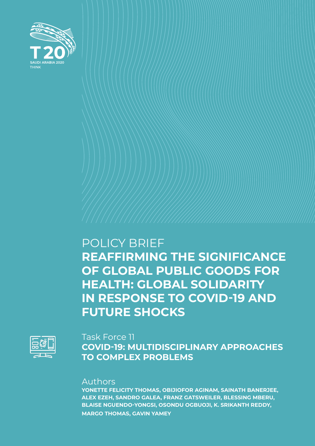

## POLICY BRIEF **REAFFIRMING THE SIGNIFICANCE OF GLOBAL PUBLIC GOODS FOR HEALTH: GLOBAL SOLIDARITY IN RESPONSE TO COVID-19 AND FUTURE SHOCKS**



### Task Force 11 **COVID-19: MULTIDISCIPLINARY APPROACHES TO COMPLEX PROBLEMS**

### Authors

**YONETTE FELICITY THOMAS, OBIJIOFOR AGINAM, SAINATH BANERJEE, ALEX EZEH, SANDRO GALEA, FRANZ GATSWEILER, BLESSING MBERU, BLAISE NGUENDO-YONGSI, OSONDU OGBUOJI, K. SRIKANTH REDDY, MARGO THOMAS, GAVIN YAMEY**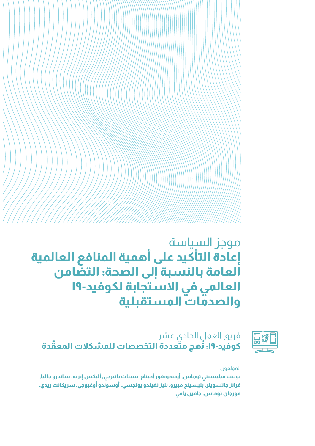# موجز السياسة **إعادة التأكيد على أهمية المنافع العالمية العامة بالنسبة إلى الصحة: التضامن العالمي في االستجابة لكوفيد19- والصدمات المستقبلية**



فريق العمل الحادي عشر **ُ ّ هج متعددة التخصصات للمشكالت المعقدة كوفيد:19- ن**

#### المؤلفون

**يونيت فيليسيتي توماس, أوبيجويفور أجينام, سيناث بانيرجي, أليكس إيزيه, ساندرو جاليا, فرانز جاتسويلر, بليسينج مبيرو, بليز نغيندو يونجسي, أوسوندو أوغبوجي, سريكانث ريدي, مورجان توماس, جافين يامي**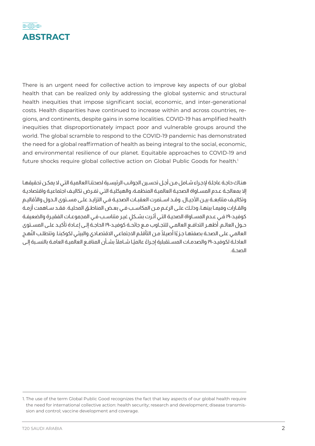

There is an urgent need for collective action to improve key aspects of our global health that can be realized only by addressing the global systemic and structural health inequities that impose significant social, economic, and inter-generational costs. Health disparities have continued to increase within and across countries, regions, and continents, despite gains in some localities. COVID-19 has amplified health inequities that disproportionately impact poor and vulnerable groups around the world. The global scramble to respond to the COVID-19 pandemic has demonstrated the need for a global reaffirmation of health as being integral to the social, economic, and environmental resilience of our planet. Equitable approaches to COVID-19 and future shocks require global collective action on Global Public Goods for health.<sup>1</sup>

هنـاك حاجـة عاجلـة إلجـراء شـامل مـن أجـل تحسـين الجوانـب الرئيسـية لصحتنـا العالميـة التـي ال يمكـن تحقيقهـا إال بمعالجـة عـدم المسـاواة الصحيـة العالميـة المنظمـة، والهيكليـة التـي تفـرض تكاليـف اجتماعيـة واقتصاديـة وتكاليـف متتابعــة بيــن الأجيــال. وقــد اســتمرت العقبــات الصحيــة فــي التزايــد علــى مســتوى الــدول والأقاليـم والقـارات وفيمـا بينهـا، وذلـك علـى الرغـم مـن المكاسـب فـي بعـض المناطـق المحليـة. فقـد سـاهمت أزمـة كوفيـد-١٩ فـي عـدم المسـاواة الصحيـة التـي أثـرت بشـكل غيـر متناسـب فـي المجموعـات الفقيـرة والضعيفـة حــول العالــم. أظهــر التدافــع العالمــي للتجــاوب مــع جائحــة كوفيــد19- الحاجــة إلــى إعــادة تأكيــد علــى المســتوى العالمـي علـى الصحـة بصفتهـا جـزءًا أصيـلاً مـن التأقلـم الاجتماعـي الاقتصـادي والبيئـي لكوكبنـا. وتتطلـب النُهـج العادلـة لكوفيـد-١٩ والصدمـات المسـتقبلية إجـراءً عالميًـا شـاملاً بشـأن المنافـع العالميـة العامـة بالنسـبة إلـى الصحـة.

<sup>1.</sup> The use of the term Global Public Good recognizes the fact that key aspects of our global health require the need for international collective action: health security; research and development; disease transmission and control; vaccine development and coverage.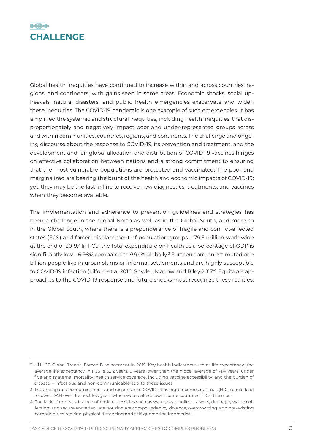

Global health inequities have continued to increase within and across countries, regions, and continents, with gains seen in some areas. Economic shocks, social upheavals, natural disasters, and public health emergencies exacerbate and widen these inequities. The COVID-19 pandemic is one example of such emergencies. It has amplified the systemic and structural inequities, including health inequities, that disproportionately and negatively impact poor and under-represented groups across and within communities, countries, regions, and continents. The challenge and ongoing discourse about the response to COVID-19, its prevention and treatment, and the development and fair global allocation and distribution of COVID-19 vaccines hinges on effective collaboration between nations and a strong commitment to ensuring that the most vulnerable populations are protected and vaccinated. The poor and marginalized are bearing the brunt of the health and economic impacts of COVID-19; yet, they may be the last in line to receive new diagnostics, treatments, and vaccines when they become available.

The implementation and adherence to prevention guidelines and strategies has been a challenge in the Global North as well as in the Global South, and more so in the Global South, where there is a preponderance of fragile and conflict-affected states (FCS) and forced displacement of population groups – 79.5 million worldwide at the end of 2019.<sup>2</sup> In FCS, the total expenditure on health as a percentage of GDP is significantly low – 6.98% compared to 9.94% globally.<sup>3</sup> Furthermore, an estimated one billion people live in urban slums or informal settlements and are highly susceptible to COVID-19 infection (Lilford et al 2016; Snyder, Marlow and Riley 20174) Equitable approaches to the COVID-19 response and future shocks must recognize these realities.

<sup>2.</sup> UNHCR Global Trends, Forced Displacement in 2019. Key health indicators such as life expectancy (the average life expectancy in FCS is 62.2 years, 9 years lower than the global average of 71.4 years; under five and maternal mortality; health service coverage, including vaccine accessibility; and the burden of disease – infectious and non-communicable add to these issues.

<sup>3.</sup> The anticipated economic shocks and responses to COVID-19 by high-income countries (HICs) could lead to lower DAH over the next few years which would affect low-income countries (LICs) the most.

<sup>4.</sup> The lack of or near absence of basic necessities such as water, soap, toilets, sewers, drainage, waste collection, and secure and adequate housing are compounded by violence, overcrowding, and pre-existing comorbidities making physical distancing and self-quarantine impractical.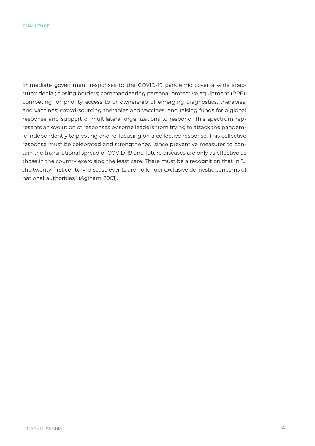Immediate government responses to the COVID-19 pandemic cover a wide spectrum: denial; closing borders; commandeering personal protective equipment (PPE); competing for priority access to or ownership of emerging diagnostics, therapies, and vaccines; crowd-sourcing therapies and vaccines; and raising funds for a global response and support of multilateral organizations to respond. This spectrum represents an evolution of responses by some leaders from trying to attack the pandemic independently to pivoting and re-focusing on a collective response. This collective response must be celebrated and strengthened, since preventive measures to contain the transnational spread of COVID-19 and future diseases are only as effective as those in the country exercising the least care. There must be a recognition that in "... the twenty-first century, disease events are no longer exclusive domestic concerns of national authorities" (Aginam 2001).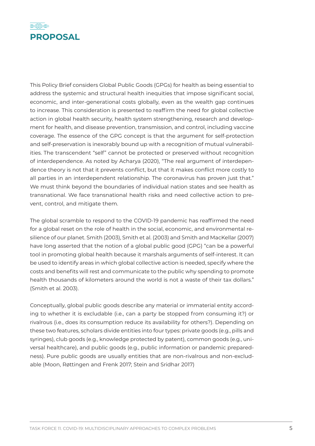

This Policy Brief considers Global Public Goods (GPGs) for health as being essential to address the systemic and structural health inequities that impose significant social, economic, and inter-generational costs globally, even as the wealth gap continues to increase. This consideration is presented to reaffirm the need for global collective action in global health security, health system strengthening, research and development for health, and disease prevention, transmission, and control, including vaccine coverage. The essence of the GPG concept is that the argument for self-protection and self-preservation is inexorably bound up with a recognition of mutual vulnerabilities. The transcendent "self" cannot be protected or preserved without recognition of interdependence. As noted by Acharya (2020), "The real argument of interdependence theory is not that it prevents conflict, but that it makes conflict more costly to all parties in an interdependent relationship. The coronavirus has proven just that." We must think beyond the boundaries of individual nation states and see health as transnational. We face transnational health risks and need collective action to prevent, control, and mitigate them.

The global scramble to respond to the COVID-19 pandemic has reaffirmed the need for a global reset on the role of health in the social, economic, and environmental resilience of our planet. Smith (2003), Smith et al. (2003) and Smith and MacKellar (2007) have long asserted that the notion of a global public good (GPG) "can be a powerful tool in promoting global health because it marshals arguments of self-interest. It can be used to identify areas in which global collective action is needed, specify where the costs and benefits will rest and communicate to the public why spending to promote health thousands of kilometers around the world is not a waste of their tax dollars." (Smith et al. 2003).

Conceptually, global public goods describe any material or immaterial entity according to whether it is excludable (i.e., can a party be stopped from consuming it?) or rivalrous (i.e., does its consumption reduce its availability for others?). Depending on these two features, scholars divide entities into four types: private goods (e.g., pills and syringes), club goods (e.g., knowledge protected by patent), common goods (e.g., universal healthcare), and public goods (e.g., public information or pandemic preparedness). Pure public goods are usually entities that are non-rivalrous and non-excludable (Moon, Røttingen and Frenk 2017; Stein and Sridhar 2017)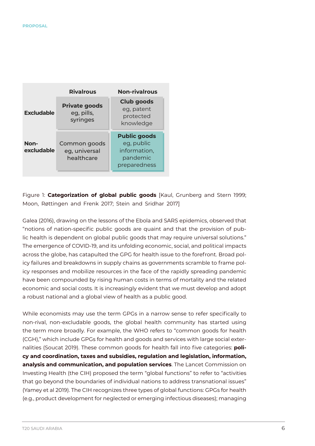|                    | <b>Rivalrous</b>                               | <b>Non-rivalrous</b>                                                          |
|--------------------|------------------------------------------------|-------------------------------------------------------------------------------|
| <b>Excludable</b>  | <b>Private goods</b><br>eg, pills,<br>syringes | Club goods<br>eg, patent<br>protected<br>knowledge                            |
| Non-<br>excludable | Common goods<br>eg, universal<br>healthcare    | <b>Public goods</b><br>eg, public<br>information,<br>pandemic<br>preparedness |

Figure 1: **Categorization of global public goods** [Kaul, Grunberg and Stern 1999; Moon, Røttingen and Frenk 2017; Stein and Sridhar 2017]

Galea (2016), drawing on the lessons of the Ebola and SARS epidemics, observed that "notions of nation-specific public goods are quaint and that the provision of public health is dependent on global public goods that may require universal solutions." The emergence of COVID-19, and its unfolding economic, social, and political impacts across the globe, has catapulted the GPG for health issue to the forefront. Broad policy failures and breakdowns in supply chains as governments scramble to frame policy responses and mobilize resources in the face of the rapidly spreading pandemic have been compounded by rising human costs in terms of mortality and the related economic and social costs. It is increasingly evident that we must develop and adopt a robust national and a global view of health as a public good.

While economists may use the term GPGs in a narrow sense to refer specifically to non-rival, non-excludable goods, the global health community has started using the term more broadly. For example, the WHO refers to "common goods for health (CGH)," which include GPGs for health and goods and services with large social externalities (Soucat 2019). These common goods for health fall into five categories: **policy and coordination, taxes and subsidies, regulation and legislation, information, analysis and communication, and population services**. The Lancet Commission on Investing Health (the CIH) proposed the term "global functions" to refer to "activities that go beyond the boundaries of individual nations to address transnational issues" (Yamey et al 2019). The CIH recognizes three types of global functions: GPGs for health (e.g., product development for neglected or emerging infectious diseases); managing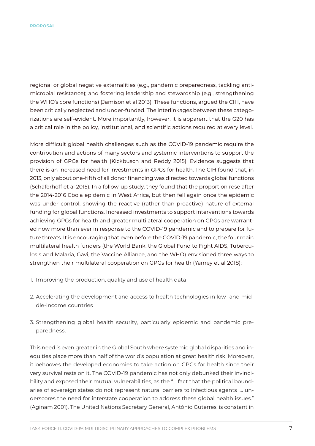regional or global negative externalities (e.g., pandemic preparedness, tackling antimicrobial resistance); and fostering leadership and stewardship (e.g., strengthening the WHO's core functions) (Jamison et al 2013). These functions, argued the CIH, have been critically neglected and under-funded. The interlinkages between these categorizations are self-evident. More importantly, however, it is apparent that the G20 has a critical role in the policy, institutional, and scientific actions required at every level.

More difficult global health challenges such as the COVID-19 pandemic require the contribution and actions of many sectors and systemic interventions to support the provision of GPGs for health (Kickbusch and Reddy 2015). Evidence suggests that there is an increased need for investments in GPGs for health. The CIH found that, in 2013, only about one-fifth of all donor financing was directed towards global functions (Schäferhoff et al 2015). In a follow-up study, they found that the proportion rose after the 2014-2016 Ebola epidemic in West Africa, but then fell again once the epidemic was under control, showing the reactive (rather than proactive) nature of external funding for global functions. Increased investments to support interventions towards achieving GPGs for health and greater multilateral cooperation on GPGs are warranted now more than ever in response to the COVID-19 pandemic and to prepare for future threats. It is encouraging that even before the COVID-19 pandemic, the four main multilateral health funders (the World Bank, the Global Fund to Fight AIDS, Tuberculosis and Malaria, Gavi, the Vaccine Alliance, and the WHO) envisioned three ways to strengthen their multilateral cooperation on GPGs for health (Yamey et al 2018):

- 1. Improving the production, quality and use of health data
- 2. Accelerating the development and access to health technologies in low- and middle-income countries
- 3. Strengthening global health security, particularly epidemic and pandemic preparedness.

This need is even greater in the Global South where systemic global disparities and inequities place more than half of the world's population at great health risk. Moreover, it behooves the developed economies to take action on GPGs for health since their very survival rests on it. The COVID-19 pandemic has not only debunked their invincibility and exposed their mutual vulnerabilities, as the "… fact that the political boundaries of sovereign states do not represent natural barriers to infectious agents …. underscores the need for interstate cooperation to address these global health issues." (Aginam 2001). The United Nations Secretary General, António Guterres, is constant in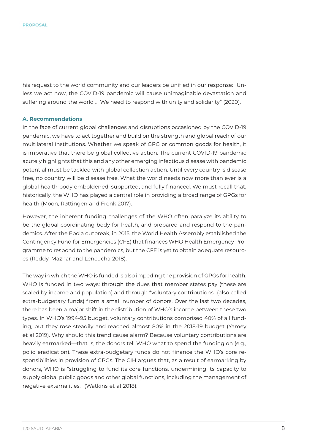his request to the world community and our leaders be unified in our response: "Unless we act now, the COVID-19 pandemic will cause unimaginable devastation and suffering around the world … We need to respond with unity and solidarity" (2020).

#### **A. Recommendations**

In the face of current global challenges and disruptions occasioned by the COVID-19 pandemic, we have to act together and build on the strength and global reach of our multilateral institutions. Whether we speak of GPG or common goods for health, it is imperative that there be global collective action. The current COVID-19 pandemic acutely highlights that this and any other emerging infectious disease with pandemic potential must be tackled with global collection action. Until every country is disease free, no country will be disease free. What the world needs now more than ever is a global health body emboldened, supported, and fully financed. We must recall that, historically, the WHO has played a central role in providing a broad range of GPGs for health (Moon, Røttingen and Frenk 2017).

However, the inherent funding challenges of the WHO often paralyze its ability to be the global coordinating body for health, and prepared and respond to the pandemics. After the Ebola outbreak, in 2015, the World Health Assembly established the Contingency Fund for Emergencies (CFE) that finances WHO Health Emergency Programme to respond to the pandemics, but the CFE is yet to obtain adequate resources (Reddy, Mazhar and Lencucha 2018).

The way in which the WHO is funded is also impeding the provision of GPGs for health. WHO is funded in two ways: through the dues that member states pay (these are scaled by income and population) and through "voluntary contributions" (also called extra-budgetary funds) from a small number of donors. Over the last two decades, there has been a major shift in the distribution of WHO's income between these two types. In WHO's 1994-95 budget, voluntary contributions comprised 40% of all funding, but they rose steadily and reached almost 80% in the 2018-19 budget (Yamey et al 2019). Why should this trend cause alarm? Because voluntary contributions are heavily earmarked—that is, the donors tell WHO what to spend the funding on (e.g., polio eradication). These extra-budgetary funds do not finance the WHO's core responsibilities in provision of GPGs. The CIH argues that, as a result of earmarking by donors, WHO is "struggling to fund its core functions, undermining its capacity to supply global public goods and other global functions, including the management of negative externalities." (Watkins et al 2018).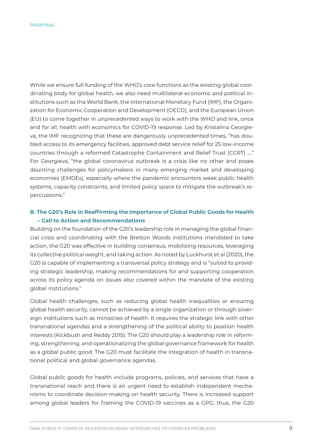While we ensure full funding of the WHO's core functions as the existing global coordinating body for global health, we also need multilateral economic and political institutions such as the World Bank, the International Monetary Fund (IMF), the Organization for Economic Cooperation and Development (OECD), and the European Union (EU) to come together in unprecedented ways to work with the WHO and link, once and for all, health with economics for COVID-19 response. Led by Kristalina Georgieva, the IMF recognizing that these are dangerously unprecedented times, "has doubled access to its emergency facilities, approved debt service relief for 25 low-income countries through a reformed Catastrophe Containment and Relief Trust (CCRT) …." For Georgieva, "the global coronavirus outbreak is a crisis like no other and poses daunting challenges for policymakers in many emerging market and developing economies (EMDEs), especially where the pandemic encounters weak public health systems, capacity constraints, and limited policy space to mitigate the outbreak's repercussions."

#### **B. The G20's Role in Reaffirming the Importance of Global Public Goods for Health – Call to Action and Recommendations**

Building on the foundation of the G20's leadership role in managing the global financial crisis and coordinating with the Bretton Woods institutions mandated to take action, the G20 was effective in building consensus, mobilizing resources, leveraging its collective political weight, and taking action. As noted by Luckhurst et al (2020), the G20 is capable of implementing a transversal policy strategy and is "suited to providing strategic leadership, making recommendations for and supporting cooperation across its policy agenda on issues also covered within the mandate of the existing global institutions."

Global health challenges, such as reducing global health inequalities or ensuring global health security, cannot be achieved by a single organization or through sovereign institutions such as ministries of health. It requires the strategic link with other transnational agendas and a strengthening of the political ability to position health interests (Kickbush and Reddy 2015). The G20 should play a leadership role in reforming, strengthening, and operationalizing the global governance framework for health as a global public good. The G20 must facilitate the integration of health in transnational political and global governance agendas.

Global public goods for health include programs, policies, and services that have a transnational reach and there is an urgent need to establish independent mechanisms to coordinate decision-making on health security. There is increased support among global leaders for framing the COVID-19 vaccines as a GPG; thus, the G20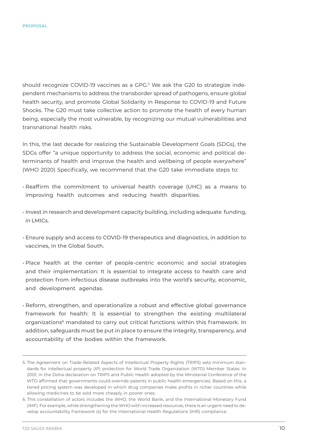should recognize COVID-19 vaccines as a GPG.<sup>5</sup> We ask the G20 to strategize independent mechanisms to address the transborder spread of pathogens, ensure global health security, and promote Global Solidarity in Response to COVID-19 and Future Shocks. The G20 must take collective action to promote the health of every human being, especially the most vulnerable, by recognizing our mutual vulnerabilities and transnational health risks.

In this, the last decade for realizing the Sustainable Development Goals (SDGs), the SDGs offer "a unique opportunity to address the social, economic and political determinants of health and improve the health and wellbeing of people everywhere" (WHO 2020) Specifically, we recommend that the G20 take immediate steps to:

- Reaffirm the commitment to universal health coverage (UHC) as a means to improving health outcomes and reducing health disparities.
- Invest in research and development capacity building, including adequate funding, in LMICs.
- Ensure supply and access to COVID-19 therapeutics and diagnostics, in addition to vaccines, in the Global South.
- Place health at the center of people-centric economic and social strategies and their implementation: It is essential to integrate access to health care and protection from infectious disease outbreaks into the world's security, economic, and development agendas.
- Reform, strengthen, and operationalize a robust and effective global governance framework for health: It is essential to strengthen the existing multilateral organizations6 mandated to carry out critical functions within this framework. In addition, safeguards must be put in place to ensure the integrity, transparency, and accountability of the bodies within the framework.

<sup>5.</sup> The Agreement on Trade-Related Aspects of Intellectual Property Rights (TRIPS) sets minimum standards for intellectual property (IP) protection for World Trade Organization (WTO) Member States. In 2001, in the Doha declaration on TRIPS and Public Health adopted by the Ministerial Conference of the WTO affirmed that governments could override patents in public health emergencies. Based on this, a tiered pricing system was developed in which drug companies make profits in richer countries while allowing medicines to be sold more cheaply in poorer ones.

<sup>6.</sup> This constellation of actors includes the WHO, the World Bank, and the International Monetary Fund (IMF). For example, while strengthening the WHO with increased resources, there is an urgent need to develop accountability framework (s) for the International Health Regulations (IHR) compliance.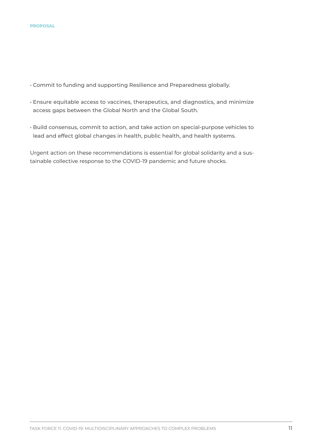- Commit to funding and supporting Resilience and Preparedness globally.
- Ensure equitable access to vaccines, therapeutics, and diagnostics, and minimize access gaps between the Global North and the Global South.
- Build consensus, commit to action, and take action on special-purpose vehicles to lead and effect global changes in health, public health, and health systems.

Urgent action on these recommendations is essential for global solidarity and a sustainable collective response to the COVID-19 pandemic and future shocks.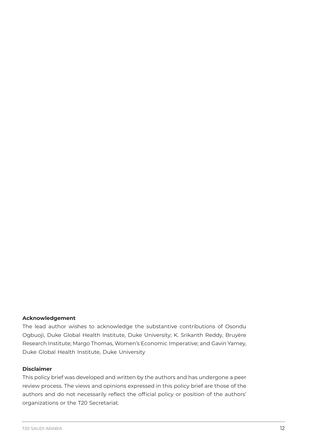#### **Acknowledgement**

The lead author wishes to acknowledge the substantive contributions of Osondu Ogbuoji, Duke Global Health Institute, Duke University; K. Srikanth Reddy, Bruyère Research Institute; Margo Thomas, Women's Economic Imperative; and Gavin Yamey, Duke Global Health Institute, Duke University

#### **Disclaimer**

This policy brief was developed and written by the authors and has undergone a peer review process. The views and opinions expressed in this policy brief are those of the authors and do not necessarily reflect the official policy or position of the authors' organizations or the T20 Secretariat.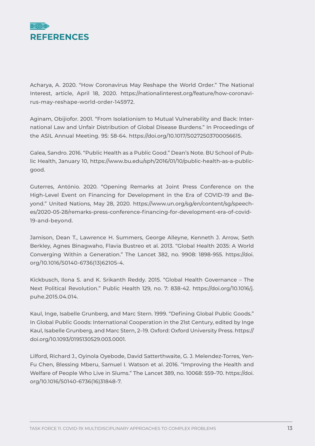

Acharya, A. 2020. "How Coronavirus May Reshape the World Order." The National Interest, article, April 18, 2020. https://nationalinterest.org/feature/how-coronavirus-may-reshape-world-order-145972.

Aginam, Obijiofor. 2001. "From Isolationism to Mutual Vulnerability and Back: International Law and Unfair Distribution of Global Disease Burdens." In Proceedings of the ASIL Annual Meeting. 95: 58-64. https://doi.org/10.1017/S0272503700056615.

Galea, Sandro. 2016. "Public Health as a Public Good." Dean's Note. BU School of Public Health, January 10, https://www.bu.edu/sph/2016/01/10/public-health-as-a-publicgood.

Guterres, António. 2020. "Opening Remarks at Joint Press Conference on the High-Level Event on Financing for Development in the Era of COVID-19 and Beyond." United Nations, May 28, 2020. https://www.un.org/sg/en/content/sg/speeches/2020-05-28/remarks-press-conference-financing-for-development-era-of-covid-19-and-beyond.

Jamison, Dean T., Lawrence H. Summers, George Alleyne, Kenneth J. Arrow, Seth Berkley, Agnes Binagwaho, Flavia Bustreo et al. 2013. "Global Health 2035: A World Converging Within a Generation." The Lancet 382, no. 9908: 1898-955. https://doi. org/10.1016/S0140-6736(13)62105-4.

Kickbusch, Ilona S. and K. Srikanth Reddy. 2015. "Global Health Governance – The Next Political Revolution." Public Health 129, no. 7: 838-42. https://doi.org/10.1016/j. puhe.2015.04.014.

Kaul, Inge, Isabelle Grunberg, and Marc Stern. 1999. "Defining Global Public Goods." In Global Public Goods: International Cooperation in the 21st Century, edited by Inge Kaul, Isabelle Grunberg, and Marc Stern, 2–19. Oxford: Oxford University Press. https:// doi.org/10.1093/0195130529.003.0001.

Lilford, Richard J., Oyinola Oyebode, David Satterthwaite, G. J. Melendez-Torres, Yen-Fu Chen, Blessing Mberu, Samuel I. Watson et al. 2016. "Improving the Health and Welfare of People Who Live in Slums." The Lancet 389, no. 10068: 559–70. https://doi. org/10.1016/S0140-6736(16)31848-7.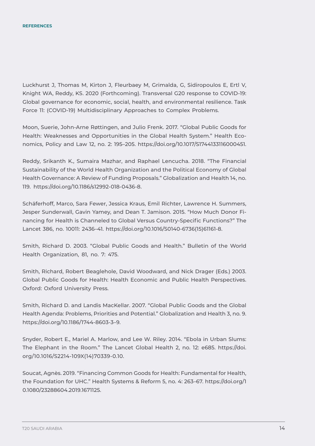Luckhurst J, Thomas M, Kirton J, Fleurbaey M, Grimalda, G, Sidiropoulos E, Ertl V, Knight WA, Reddy, KS. 2020 (Forthcoming). Transversal G20 response to COVID-19: Global governance for economic, social, health, and environmental resilience. Task Force 11: (COVID-19) Multidisciplinary Approaches to Complex Problems.

Moon, Suerie, John-Arne Røttingen, and Julio Frenk. 2017. "Global Public Goods for Health: Weaknesses and Opportunities in the Global Health System." Health Economics, Policy and Law 12, no. 2: 195–205. https://doi.org/10.1017/S1744133116000451.

Reddy, Srikanth K., Sumaira Mazhar, and Raphael Lencucha. 2018. "The Financial Sustainability of the World Health Organization and the Political Economy of Global Health Governance: A Review of Funding Proposals." Globalization and Health 14, no. 119. https://doi.org/10.1186/s12992-018-0436-8.

Schäferhoff, Marco, Sara Fewer, Jessica Kraus, Emil Richter, Lawrence H. Summers, Jesper Sunderwall, Gavin Yamey, and Dean T. Jamison. 2015. "How Much Donor Financing for Health is Channeled to Global Versus Country-Specific Functions?" The Lancet 386, no. 10011: 2436–41. https://doi.org/10.1016/S0140-6736(15)61161-8.

Smith, Richard D. 2003. "Global Public Goods and Health." Bulletin of the World Health Organization, 81, no. 7: 475.

Smith, Richard, Robert Beaglehole, David Woodward, and Nick Drager (Eds.) 2003. Global Public Goods for Health: Health Economic and Public Health Perspectives. Oxford: Oxford University Press.

Smith, Richard D. and Landis MacKellar. 2007. "Global Public Goods and the Global Health Agenda: Problems, Priorities and Potential." Globalization and Health 3, no. 9. https://doi.org/10.1186/1744-8603-3–9.

Snyder, Robert E., Mariel A. Marlow, and Lee W. Riley. 2014. "Ebola in Urban Slums: The Elephant in the Room." The Lancet Global Health 2, no. 12: e685. https://doi. org/10.1016/S2214-109X(14)70339-0.10.

Soucat, Agnès. 2019. "Financing Common Goods for Health: Fundamental for Health, the Foundation for UHC." Health Systems & Reform 5, no. 4: 263–67. https://doi.org/1 0.1080/23288604.2019.1671125.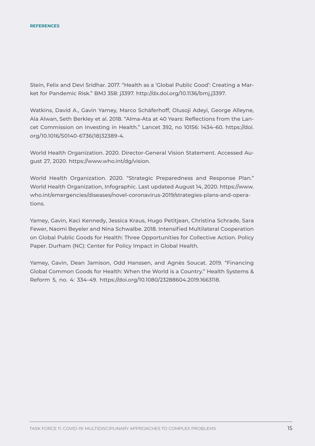Stein, Felix and Devi Sridhar. 2017. "Health as a 'Global Public Good': Creating a Market for Pandemic Risk." BMJ 358: j3397. http://dx.doi.org/10.1136/bmj.j3397.

Watkins, David A., Gavin Yamey, Marco Schäferhoff, Olusoji Adeyi, George Alleyne, Ala Alwan, Seth Berkley et al. 2018. "Alma-Ata at 40 Years: Reflections from the Lancet Commission on Investing in Health." Lancet 392, no 10156: 1434–60. https://doi. org/10.1016/S0140-6736(18)32389-4.

World Health Organization. 2020. Director-General Vision Statement. Accessed August 27, 2020. https://www.who.int/dg/vision.

World Health Organization. 2020. "Strategic Preparedness and Response Plan." World Health Organization, Infographic. Last updated August 14, 2020. https://www. who.int/emergencies/diseases/novel-coronavirus-2019/strategies-plans-and-operations.

Yamey, Gavin, Kaci Kennedy, Jessica Kraus, Hugo Petitjean, Christina Schrade, Sara Fewer, Naomi Beyeler and Nina Schwalbe. 2018. Intensified Multilateral Cooperation on Global Public Goods for Health: Three Opportunities for Collective Action. Policy Paper. Durham (NC): Center for Policy Impact in Global Health.

Yamey, Gavin, Dean Jamison, Odd Hanssen, and Agnès Soucat. 2019. "Financing Global Common Goods for Health: When the World is a Country." Health Systems & Reform 5, no. 4: 334–49. https://doi.org/10.1080/23288604.2019.1663118.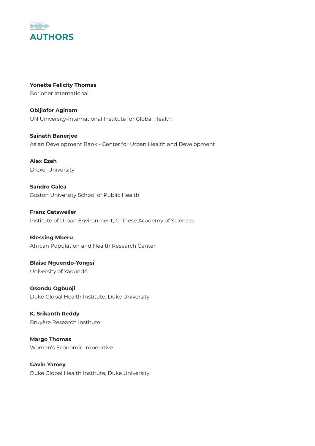

**Yonette Felicity Thomas** Borjoner International

**Obijiofor Aginam** UN University-International Institute for Global Health

**Sainath Banerjee** Asian Development Bank - Center for Urban Health and Development

**Alex Ezeh** Drexel University

**Sandro Galea** Boston University School of Public Health

**Franz Gatsweiler** Institute of Urban Environment, Chinese Academy of Sciences

**Blessing Mberu** African Population and Health Research Center

**Blaise Nguendo-Yongsi** University of Yaoundé

**Osondu Ogbuoji** Duke Global Health Institute, Duke University

**K. Srikanth Reddy** Bruyère Research Institute

**Margo Thomas** Women's Economic Imperative

**Gavin Yamey** Duke Global Health Institute, Duke University